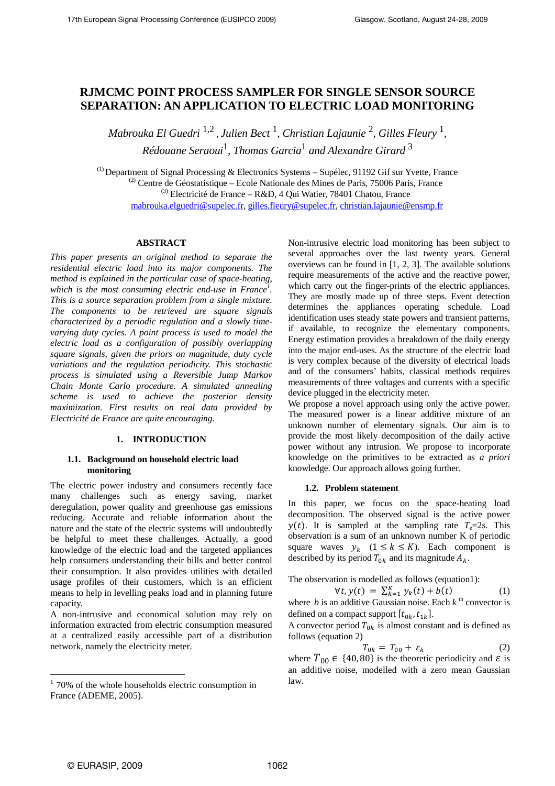# **RJMCMC POINT PROCESS SAMPLER FOR SINGLE SENSOR SOURCE SEPARATION: AN APPLICATION TO ELECTRIC LOAD MONITORING**

*Mabrouka El Guedri* 1,2 , *Julien Bect* <sup>1</sup> *, Christian Lajaunie* <sup>2</sup> *, Gilles Fleury* <sup>1</sup> *, Rédouane Seraoui*<sup>1</sup> *, Thomas Garcia*<sup>1</sup>  *and Alexandre Girard* <sup>3</sup>

(1) Department of Signal Processing & Electronics Systems – Supélec, 91192 Gif sur Yvette, France  $^{(2)}$  Centre de Géostatistique – Ecole Nationale des Mines de Paris, 75006 Paris, France  $^{(3)}$  Electricité de France – R&D, 4 Qui Watier, 78401 Chatou, France mabrouka.elguedri@supelec.fr, gilles.fleury@supelec.fr, christian.lajaunie@ensmp.fr

### **ABSTRACT**

*This paper presents an original method to separate the residential electric load into its major components. The method is explained in the particular case of space-heating,*  which is the most consuming electric end-use in France<sup>1</sup>. *This is a source separation problem from a single mixture. The components to be retrieved are square signals characterized by a periodic regulation and a slowly timevarying duty cycles. A point process is used to model the electric load as a configuration of possibly overlapping square signals, given the priors on magnitude, duty cycle variations and the regulation periodicity. This stochastic process is simulated using a Reversible Jump Markov Chain Monte Carlo procedure. A simulated annealing scheme is used to achieve the posterior density maximization. First results on real data provided by Electricité de France are quite encouraging.* 

## **1. INTRODUCTION**

### **1.1. Background on household electric load monitoring**

The electric power industry and consumers recently face many challenges such as energy saving, market deregulation, power quality and greenhouse gas emissions reducing. Accurate and reliable information about the nature and the state of the electric systems will undoubtedly be helpful to meet these challenges. Actually, a good knowledge of the electric load and the targeted appliances help consumers understanding their bills and better control their consumption. It also provides utilities with detailed usage profiles of their customers, which is an efficient means to help in levelling peaks load and in planning future capacity.

A non-intrusive and economical solution may rely on information extracted from electric consumption measured at a centralized easily accessible part of a distribution network, namely the electricity meter.

Non-intrusive electric load monitoring has been subject to several approaches over the last twenty years. General overviews can be found in [1, 2, 3]. The available solutions require measurements of the active and the reactive power, which carry out the finger-prints of the electric appliances. They are mostly made up of three steps. Event detection determines the appliances operating schedule. Load identification uses steady state powers and transient patterns, if available, to recognize the elementary components. Energy estimation provides a breakdown of the daily energy into the major end-uses. As the structure of the electric load is very complex because of the diversity of electrical loads and of the consumers' habits, classical methods requires measurements of three voltages and currents with a specific device plugged in the electricity meter.

We propose a novel approach using only the active power. The measured power is a linear additive mixture of an unknown number of elementary signals. Our aim is to provide the most likely decomposition of the daily active power without any intrusion. We propose to incorporate knowledge on the primitives to be extracted as *a priori* knowledge. Our approach allows going further.

### **1.2. Problem statement**

In this paper, we focus on the space-heating load decomposition. The observed signal is the active power  $y(t)$ . It is sampled at the sampling rate  $T_e=2s$ . This observation is a sum of an unknown number K of periodic square waves  $y_k$   $(1 \le k \le K)$ . Each component is described by its period  $T_{0k}$  and its magnitude  $A_k$ .

The observation is modelled as follows (equation1):

$$
\forall t, y(t) = \sum_{k=1}^{K} y_k(t) + b(t) \tag{1}
$$

where *b* is an additive Gaussian noise. Each  $k^{\text{th}}$  convector is defined on a compact support  $[t_{0k}, t_{1k}]$ .

A convector period  $T_{0k}$  is almost constant and is defined as follows (equation 2)

$$
T_{0k} = T_{00} + \varepsilon_k \tag{2}
$$

where  $T_{00} \in \{40, 80\}$  is the theoretic periodicity and  $\varepsilon$  is an additive noise, modelled with a zero mean Gaussian law.

 $\overline{a}$ 

<sup>&</sup>lt;sup>1</sup> 70% of the whole households electric consumption in France (ADEME, 2005).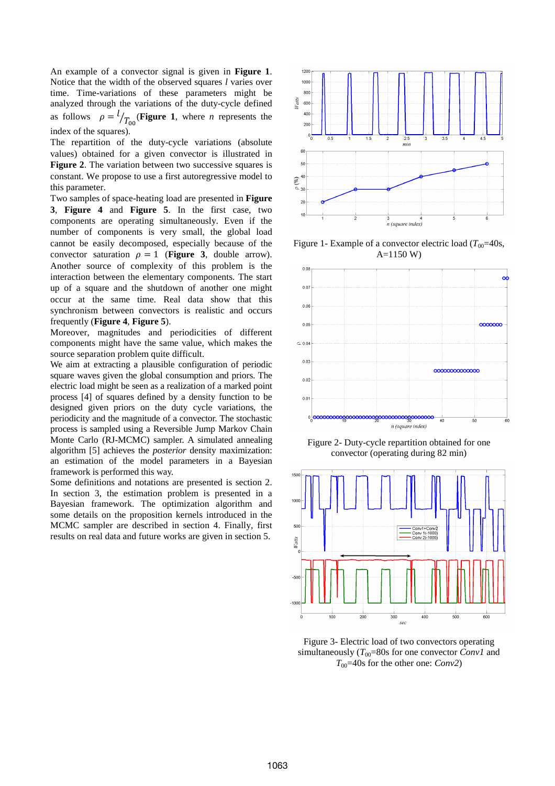An example of a convector signal is given in **Figure 1**. Notice that the width of the observed squares *l* varies over time. Time-variations of these parameters might be analyzed through the variations of the duty-cycle defined as follows  $\rho = \frac{l}{T_{00}}$  (Figure 1, where *n* represents the index of the squares).

The repartition of the duty-cycle variations (absolute values) obtained for a given convector is illustrated in **Figure 2**. The variation between two successive squares is constant. We propose to use a first autoregressive model to this parameter.

Two samples of space-heating load are presented in **Figure 3**, **Figure 4** and **Figure 5**. In the first case, two components are operating simultaneously. Even if the number of components is very small, the global load cannot be easily decomposed, especially because of the convector saturation  $\rho = 1$  (**Figure 3**, double arrow). Another source of complexity of this problem is the interaction between the elementary components. The start up of a square and the shutdown of another one might occur at the same time. Real data show that this synchronism between convectors is realistic and occurs frequently (**Figure 4**, **Figure 5**).

Moreover, magnitudes and periodicities of different components might have the same value, which makes the source separation problem quite difficult.

We aim at extracting a plausible configuration of periodic square waves given the global consumption and priors. The electric load might be seen as a realization of a marked point process [4] of squares defined by a density function to be designed given priors on the duty cycle variations, the periodicity and the magnitude of a convector. The stochastic process is sampled using a Reversible Jump Markov Chain Monte Carlo (RJ-MCMC) sampler. A simulated annealing algorithm [5] achieves the *posterior* density maximization: an estimation of the model parameters in a Bayesian framework is performed this way.

Some definitions and notations are presented is section 2. In section 3, the estimation problem is presented in a Bayesian framework. The optimization algorithm and some details on the proposition kernels introduced in the MCMC sampler are described in section 4. Finally, first results on real data and future works are given in section 5.



Figure 1- Example of a convector electric load  $(T_{00}=40s,$ A=1150 W)



Figure 2- Duty-cycle repartition obtained for one convector (operating during 82 min)



Figure 3- Electric load of two convectors operating simultaneously  $(T_{00}=80s)$  for one convector *Conv1* and *T*<sub>00</sub>=40s for the other one: *Conv2*)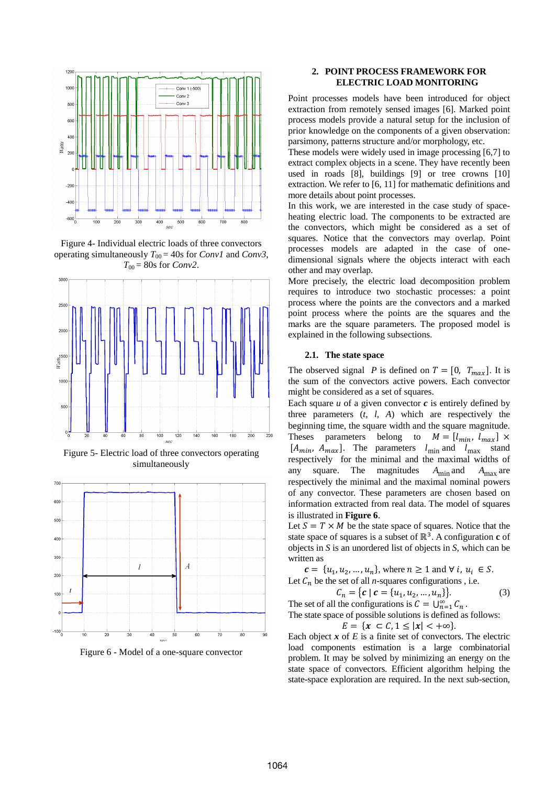

Figure 4- Individual electric loads of three convectors operating simultaneously  $T_{00} = 40$ s for *Conv1* and *Conv3*,  $T_{00} = 80$ s for *Conv2*.



Figure 5- Electric load of three convectors operating simultaneously



Figure 6 - Model of a one-square convector

# **2. POINT PROCESS FRAMEWORK FOR ELECTRIC LOAD MONITORING**

Point processes models have been introduced for object extraction from remotely sensed images [6]. Marked point process models provide a natural setup for the inclusion of prior knowledge on the components of a given observation: parsimony, patterns structure and/or morphology, etc.

These models were widely used in image processing [6,7] to extract complex objects in a scene. They have recently been used in roads [8], buildings [9] or tree crowns [10] extraction. We refer to [6, 11] for mathematic definitions and more details about point processes.

In this work, we are interested in the case study of spaceheating electric load. The components to be extracted are the convectors, which might be considered as a set of squares. Notice that the convectors may overlap. Point processes models are adapted in the case of onedimensional signals where the objects interact with each other and may overlap.

More precisely, the electric load decomposition problem requires to introduce two stochastic processes: a point process where the points are the convectors and a marked point process where the points are the squares and the marks are the square parameters. The proposed model is explained in the following subsections.

#### **2.1. The state space**

The observed signal *P* is defined on  $T = [0, T_{max}]$ . It is the sum of the convectors active powers. Each convector might be considered as a set of squares.

Each square  $u$  of a given convector  $c$  is entirely defined by three parameters  $(t, l, A)$  which are respectively the beginning time, the square width and the square magnitude. Theses parameters belong to  $M = [l_{min}, l_{max}] \times$  $[A_{min}, A_{max}]$ . The parameters  $l_{min}$  and  $l_{max}$  stand respectively for the minimal and the maximal widths of any square. The magnitudes  $A_{\text{min}}$  and  $A_{\text{max}}$  are respectively the minimal and the maximal nominal powers of any convector. These parameters are chosen based on information extracted from real data. The model of squares is illustrated in **Figure 6**.

Let  $S = T \times M$  be the state space of squares. Notice that the state space of squares is a subset of ℝ<sup>3</sup>. A configuration **c** of objects in *S* is an unordered list of objects in *S*, which can be written as

 $c = \{u_1, u_2, ..., u_n\}$ , where  $n \ge 1$  and  $\forall i, u_i \in S$ .

Let  $C_n$  be the set of all *n*-squares configurations , i.e.

$$
C_n = \{c \mid c = \{u_1, u_2, \dots, u_n\}\}.
$$
 (3)

The set of all the configurations is  $C = \bigcup_{n=1}^{\infty} C_n$ .

The state space of possible solutions is defined as follows:  $\leq |x| < +\infty$ 

$$
E = \{x \subset L, 1 \leq |x| < +\infty\}
$$

Each object  $x$  of  $E$  is a finite set of convectors. The electric load components estimation is a large combinatorial problem. It may be solved by minimizing an energy on the state space of convectors. Efficient algorithm helping the state-space exploration are required. In the next sub-section,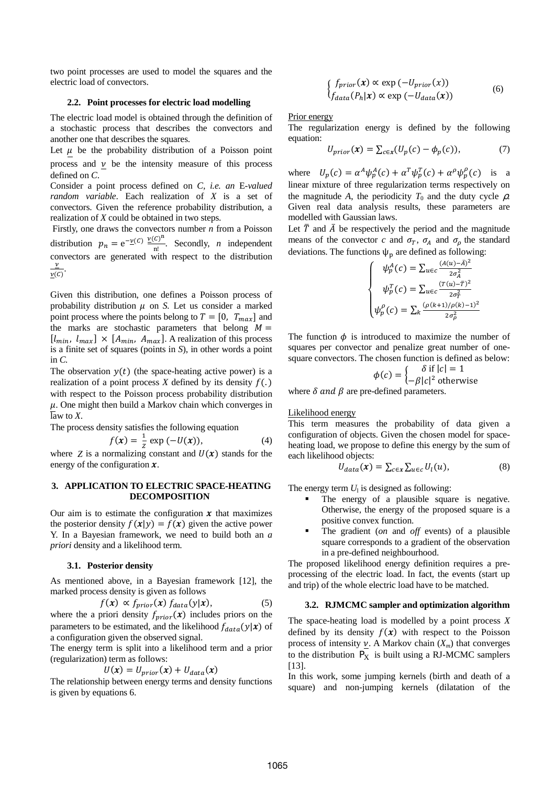two point processes are used to model the squares and the electric load of convectors.

### **2.2. Point processes for electric load modelling**

The electric load model is obtained through the definition of a stochastic process that describes the convectors and another one that describes the squares.

Let  $\mu$  be the probability distribution of a Poisson point process and  $\nu$  be the intensity measure of this process defined on *C*.

Consider a point process defined on *C, i.e. an* E*-valued random variable*. Each realization of *X* is a set of convectors. Given the reference probability distribution, a realization of *X* could be obtained in two steps.

 Firstly, one draws the convectors number *n* from a Poisson distribution  $p_n = e^{-\underline{\nu}(C)} \frac{\underline{\nu}(C)^n}{n!}$ . Secondly, *n* independent convectors are generated with respect to the distribution  $\boldsymbol{\nu}$  $\frac{\nu}{\nu(c)}$ .

Given this distribution, one defines a Poisson process of probability distribution  $\mu$  on *S*. Let us consider a marked point process where the points belong to  $T = [0, T_{max}]$  and the marks are stochastic parameters that belong  $M =$  $[l_{min}, l_{max}] \times [A_{min}, A_{max}]$ . A realization of this process is a finite set of squares (points in *S*), in other words a point in  $C$ .

The observation  $y(t)$  (the space-heating active power) is a realization of a point process  $X$  defined by its density  $f(.)$ with respect to the Poisson process probability distribution  $\mu$ . One might then build a Markov chain which converges in law to *X*.

The process density satisfies the following equation

$$
f(x) = \frac{1}{z} \exp(-U(x)),
$$
 (4)

where  $Z$  is a normalizing constant and  $U(x)$  stands for the energy of the configuration  $x$ .

# **3. APPLICATION TO ELECTRIC SPACE-HEATING DECOMPOSITION**

Our aim is to estimate the configuration  $x$  that maximizes the posterior density  $f(x|y) = f(x)$  given the active power Y. In a Bayesian framework, we need to build both an *a priori* density and a likelihood term.

### **3.1. Posterior density**

As mentioned above, in a Bayesian framework [12], the marked process density is given as follows

$$
f(\mathbf{x}) \propto f_{prior}(\mathbf{x}) f_{data}(y|\mathbf{x}), \tag{5}
$$

where the a priori density  $f_{prior}(x)$  includes priors on the parameters to be estimated, and the likelihood  $f_{data}(y|\mathbf{x})$  of a configuration given the observed signal.

The energy term is split into a likelihood term and a prior (regularization) term as follows:

$$
U(\pmb{x}) = U_{prior}(\pmb{x}) + U_{data}(\pmb{x})
$$

The relationship between energy terms and density functions is given by equations 6.

$$
\begin{cases}\nf_{prior}(x) \propto \exp(-U_{prior}(x)) \\
f_{data}(P_h|x) \propto \exp(-U_{data}(x))\n\end{cases}
$$
\n(6)

Prior energy

The regularization energy is defined by the following equation:

$$
U_{prior}(x) = \sum_{c \in x} (U_p(c) - \phi_p(c)), \tag{7}
$$

where  $U_p(c) = \alpha^A \psi_p^A(c) + \alpha^T \psi_p^T(c) + \alpha^\rho \psi_p^\rho(c)$  is a linear mixture of three regularization terms respectively on the magnitude *A*, the periodicity  $T_0$  and the duty cycle  $\rho$ . Given real data analysis results, these parameters are modelled with Gaussian laws.

Let  $\overline{T}$  and  $\overline{A}$  be respectively the period and the magnitude means of the convector *c* and  $\sigma_T$ ,  $\sigma_A$  and  $\sigma_p$  the standard deviations. The functions  $\psi_p$  are defined as following:

$$
\left\{ \begin{array}{l} \psi_p^A(c)=\sum_{u\in c}\frac{(A(u)-\bar{A})^2}{2\sigma_A^2} \\ \psi_p^T(c)=\sum_{u\in c}\frac{(T(u)-\bar{T})^2}{2\sigma_T^2} \\ \psi_p^{\rho}(c)=\sum_k\frac{(\rho(k+1)/\rho(k)-1)^2}{2\sigma_p^2} \end{array} \right.
$$

The function  $\phi$  is introduced to maximize the number of squares per convector and penalize great number of onesquare convectors. The chosen function is defined as below:

$$
\phi(c) = \begin{cases} \delta \text{ if } |c| = 1\\ -\beta |c|^2 \text{ otherwise} \end{cases}
$$

where  $\delta$  and  $\beta$  are pre-defined parameters.

### Likelihood energy

This term measures the probability of data given a configuration of objects. Given the chosen model for spaceheating load, we propose to define this energy by the sum of each likelihood objects:

$$
U_{data}(\mathbf{x}) = \sum_{c \in \mathbf{x}} \sum_{u \in c} U_l(u), \tag{8}
$$

The energy term  $U_1$  is designed as following:

- The energy of a plausible square is negative. Otherwise, the energy of the proposed square is a positive convex function.
- The gradient (*on* and *off* events) of a plausible square corresponds to a gradient of the observation in a pre-defined neighbourhood.

The proposed likelihood energy definition requires a preprocessing of the electric load. In fact, the events (start up and trip) of the whole electric load have to be matched.

### **3.2. RJMCMC sampler and optimization algorithm**

The space-heating load is modelled by a point process *X* defined by its density  $f(x)$  with respect to the Poisson process of intensity  $\nu$ . A Markov chain  $(X_m)$  that converges to the distribution  $P_X$  is built using a RJ-MCMC samplers [13].

In this work, some jumping kernels (birth and death of a square) and non-jumping kernels (dilatation of the